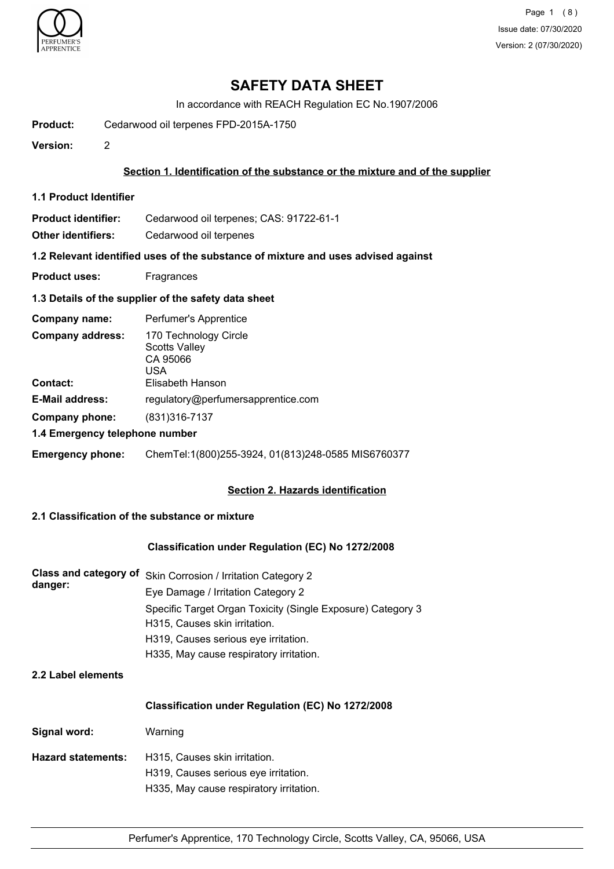

Page 1 (8) Issue date: 07/30/2020 Version: 2 (07/30/2020)

# **SAFETY DATA SHEET**

In accordance with REACH Regulation EC No.1907/2006

**Product:** Cedarwood oil terpenes FPD-2015A-1750

**Version:** 2

#### **Section 1. Identification of the substance or the mixture and of the supplier**

**1.1 Product Identifier**

**Product identifier:** Cedarwood oil terpenes; CAS: 91722-61-1

**Other identifiers:** Cedarwood oil terpenes

**1.2 Relevant identified uses of the substance of mixture and uses advised against**

**Product uses:** Fragrances

#### **1.3 Details of the supplier of the safety data sheet**

| Company name:                              | Perfumer's Apprentice                                                                |
|--------------------------------------------|--------------------------------------------------------------------------------------|
| <b>Company address:</b><br><b>Contact:</b> | 170 Technology Circle<br><b>Scotts Valley</b><br>CA 95066<br>USA<br>Elisabeth Hanson |
| <b>E-Mail address:</b>                     | regulatory@perfumersapprentice.com                                                   |
| Company phone:                             | (831)316-7137                                                                        |
| 1.4 Emergency telephone number             |                                                                                      |
| <b>Emergency phone:</b>                    | ChemTel:1(800)255-3924, 01(813)248-0585 MIS6760377                                   |

### **Section 2. Hazards identification**

# **2.1 Classification of the substance or mixture**

#### **Classification under Regulation (EC) No 1272/2008**

| danger: | Class and category of Skin Corrosion / Irritation Category 2 |
|---------|--------------------------------------------------------------|
|         | Eye Damage / Irritation Category 2                           |
|         | Specific Target Organ Toxicity (Single Exposure) Category 3  |
|         | H315, Causes skin irritation.                                |
|         | H319, Causes serious eye irritation.                         |
|         | H335, May cause respiratory irritation.                      |

## **2.2 Label elements**

#### **Classification under Regulation (EC) No 1272/2008**

| Signal word:              | Warning                                 |
|---------------------------|-----------------------------------------|
| <b>Hazard statements:</b> | H315, Causes skin irritation.           |
|                           | H319, Causes serious eye irritation.    |
|                           | H335, May cause respiratory irritation. |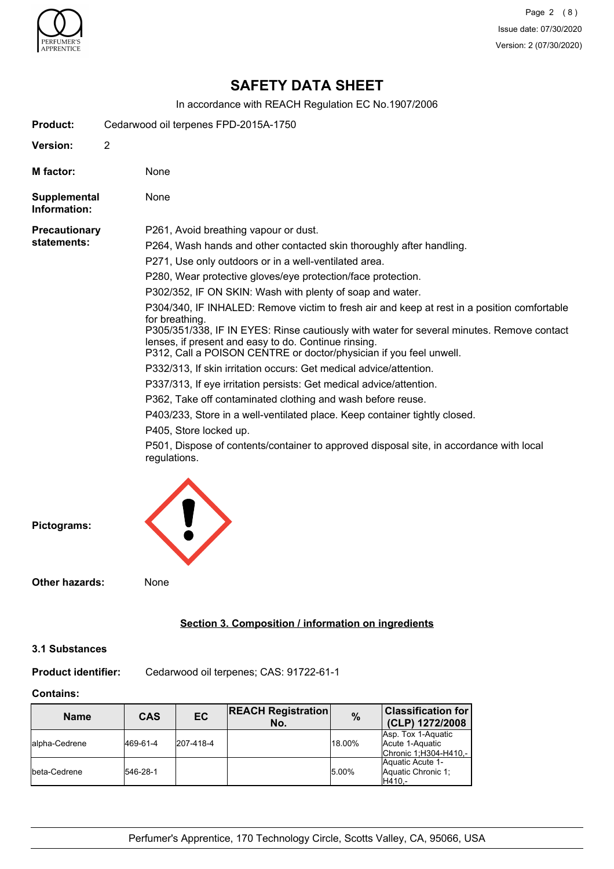

# **SAFETY DATA SHEET**

In accordance with REACH Regulation EC No.1907/2006

| <b>Product:</b>              | Cedarwood oil terpenes FPD-2015A-1750                                                                                      |
|------------------------------|----------------------------------------------------------------------------------------------------------------------------|
| Version:                     | $\overline{2}$                                                                                                             |
| M factor:                    | None                                                                                                                       |
| Supplemental<br>Information: | None                                                                                                                       |
| <b>Precautionary</b>         | P261, Avoid breathing vapour or dust.                                                                                      |
| statements:                  | P264, Wash hands and other contacted skin thoroughly after handling.                                                       |
|                              | P271, Use only outdoors or in a well-ventilated area.                                                                      |
|                              | P280, Wear protective gloves/eye protection/face protection.                                                               |
|                              | P302/352, IF ON SKIN: Wash with plenty of soap and water.                                                                  |
|                              | P304/340, IF INHALED: Remove victim to fresh air and keep at rest in a position comfortable<br>for breathing.              |
|                              | P305/351/338, IF IN EYES: Rinse cautiously with water for several minutes. Remove contact                                  |
|                              | lenses, if present and easy to do. Continue rinsing.<br>P312, Call a POISON CENTRE or doctor/physician if you feel unwell. |
|                              | P332/313, If skin irritation occurs: Get medical advice/attention.                                                         |
|                              | P337/313, If eye irritation persists: Get medical advice/attention.                                                        |
|                              | P362, Take off contaminated clothing and wash before reuse.                                                                |
|                              | P403/233, Store in a well-ventilated place. Keep container tightly closed.                                                 |
|                              | P405, Store locked up.                                                                                                     |
|                              | P501, Dispose of contents/container to approved disposal site, in accordance with local<br>regulations.                    |
|                              |                                                                                                                            |
|                              |                                                                                                                            |
|                              |                                                                                                                            |
| Pictograms:                  |                                                                                                                            |

**Other hazards:** None

# **Section 3. Composition / information on ingredients**

#### **3.1 Substances**

**Product identifier:** Cedarwood oil terpenes; CAS: 91722-61-1

# **Contains:**

| <b>Name</b>    | <b>CAS</b> | EC        | <b>REACH Registration</b><br>No. | %      | <b>Classification for</b><br>(CLP) 1272/2008                    |
|----------------|------------|-----------|----------------------------------|--------|-----------------------------------------------------------------|
| lalpha-Cedrene | 469-61-4   | 207-418-4 |                                  | 18.00% | Asp. Tox 1-Aquatic<br>Acute 1-Aquatic<br>Chronic 1; H304-H410,- |
| Ibeta-Cedrene  | 546-28-1   |           |                                  | 5.00%  | Aquatic Acute 1-<br>Aquatic Chronic 1:<br>IH410.-               |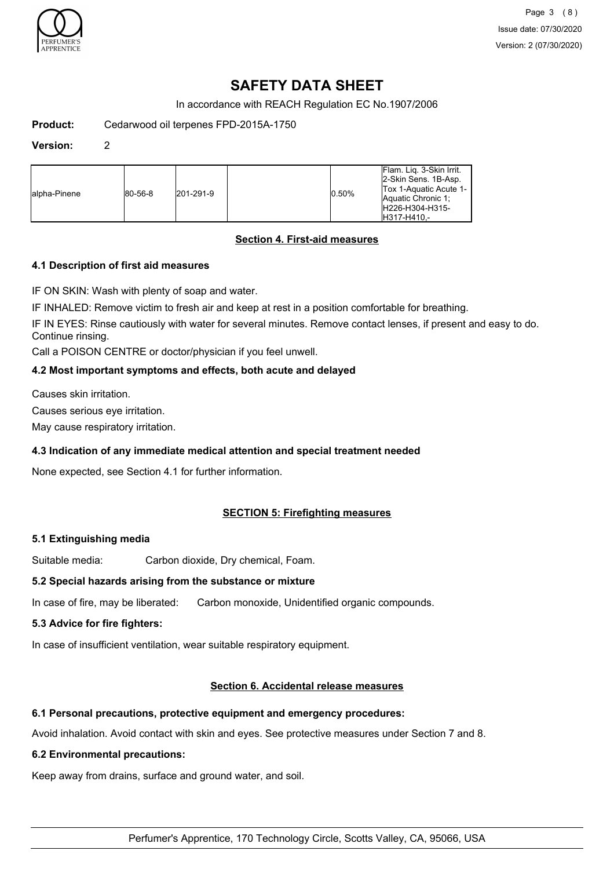

Page 3 (8) Issue date: 07/30/2020 Version: 2 (07/30/2020)

# **SAFETY DATA SHEET**

In accordance with REACH Regulation EC No.1907/2006

**Product:** Cedarwood oil terpenes FPD-2015A-1750

#### **Version:** 2

| H317-H410.- | lalpha-Pinene | $ 80 - 56 - 8 $ | 201-291-9 |  | 0.50% | IFlam. Lig. 3-Skin Irrit.<br>2-Skin Sens. 1B-Asp.<br>Tox 1-Aquatic Acute 1-<br>Aquatic Chronic 1:<br>H226-H304-H315- |
|-------------|---------------|-----------------|-----------|--|-------|----------------------------------------------------------------------------------------------------------------------|
|-------------|---------------|-----------------|-----------|--|-------|----------------------------------------------------------------------------------------------------------------------|

# **Section 4. First-aid measures**

## **4.1 Description of first aid measures**

IF ON SKIN: Wash with plenty of soap and water.

IF INHALED: Remove victim to fresh air and keep at rest in a position comfortable for breathing.

IF IN EYES: Rinse cautiously with water for several minutes. Remove contact lenses, if present and easy to do. Continue rinsing.

Call a POISON CENTRE or doctor/physician if you feel unwell.

### **4.2 Most important symptoms and effects, both acute and delayed**

Causes skin irritation.

Causes serious eye irritation.

May cause respiratory irritation.

### **4.3 Indication of any immediate medical attention and special treatment needed**

None expected, see Section 4.1 for further information.

### **SECTION 5: Firefighting measures**

### **5.1 Extinguishing media**

Suitable media: Carbon dioxide, Dry chemical, Foam.

### **5.2 Special hazards arising from the substance or mixture**

In case of fire, may be liberated: Carbon monoxide, Unidentified organic compounds.

### **5.3 Advice for fire fighters:**

In case of insufficient ventilation, wear suitable respiratory equipment.

## **Section 6. Accidental release measures**

### **6.1 Personal precautions, protective equipment and emergency procedures:**

Avoid inhalation. Avoid contact with skin and eyes. See protective measures under Section 7 and 8.

### **6.2 Environmental precautions:**

Keep away from drains, surface and ground water, and soil.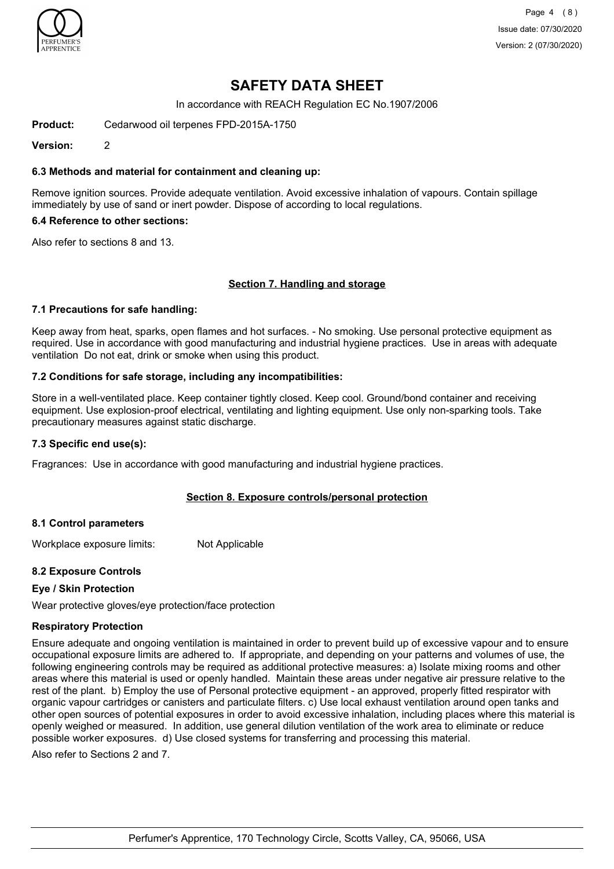

Page 4 (8) Issue date: 07/30/2020 Version: 2 (07/30/2020)

# **SAFETY DATA SHEET**

In accordance with REACH Regulation EC No.1907/2006

**Product:** Cedarwood oil terpenes FPD-2015A-1750

**Version:** 2

#### **6.3 Methods and material for containment and cleaning up:**

Remove ignition sources. Provide adequate ventilation. Avoid excessive inhalation of vapours. Contain spillage immediately by use of sand or inert powder. Dispose of according to local regulations.

#### **6.4 Reference to other sections:**

Also refer to sections 8 and 13.

#### **Section 7. Handling and storage**

#### **7.1 Precautions for safe handling:**

Keep away from heat, sparks, open flames and hot surfaces. - No smoking. Use personal protective equipment as required. Use in accordance with good manufacturing and industrial hygiene practices. Use in areas with adequate ventilation Do not eat, drink or smoke when using this product.

#### **7.2 Conditions for safe storage, including any incompatibilities:**

Store in a well-ventilated place. Keep container tightly closed. Keep cool. Ground/bond container and receiving equipment. Use explosion-proof electrical, ventilating and lighting equipment. Use only non-sparking tools. Take precautionary measures against static discharge.

#### **7.3 Specific end use(s):**

Fragrances: Use in accordance with good manufacturing and industrial hygiene practices.

### **Section 8. Exposure controls/personal protection**

#### **8.1 Control parameters**

Workplace exposure limits: Not Applicable

### **8.2 Exposure Controls**

### **Eye / Skin Protection**

Wear protective gloves/eye protection/face protection

#### **Respiratory Protection**

Ensure adequate and ongoing ventilation is maintained in order to prevent build up of excessive vapour and to ensure occupational exposure limits are adhered to. If appropriate, and depending on your patterns and volumes of use, the following engineering controls may be required as additional protective measures: a) Isolate mixing rooms and other areas where this material is used or openly handled. Maintain these areas under negative air pressure relative to the rest of the plant. b) Employ the use of Personal protective equipment - an approved, properly fitted respirator with organic vapour cartridges or canisters and particulate filters. c) Use local exhaust ventilation around open tanks and other open sources of potential exposures in order to avoid excessive inhalation, including places where this material is openly weighed or measured. In addition, use general dilution ventilation of the work area to eliminate or reduce possible worker exposures. d) Use closed systems for transferring and processing this material.

Also refer to Sections 2 and 7.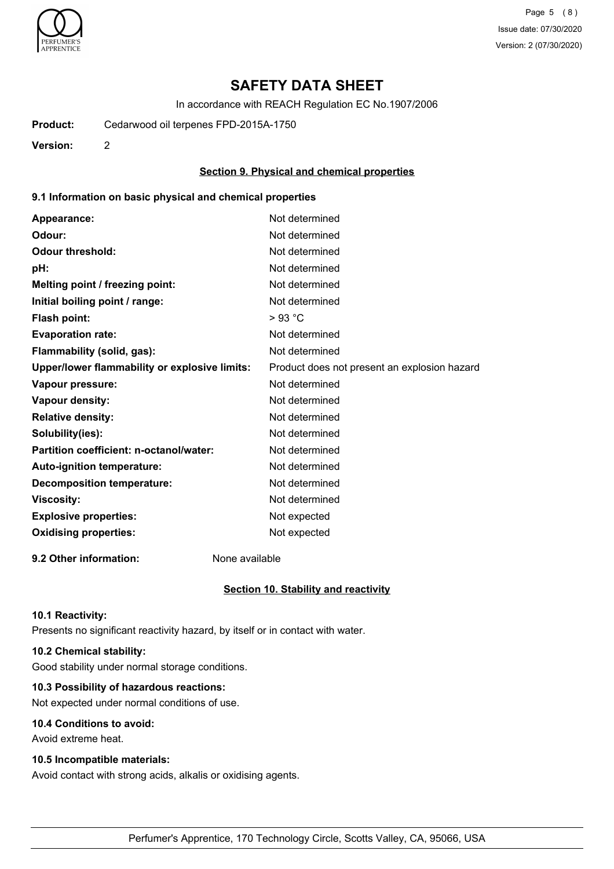

Page 5 (8) Issue date: 07/30/2020 Version: 2 (07/30/2020)

# **SAFETY DATA SHEET**

In accordance with REACH Regulation EC No.1907/2006

**Product:** Cedarwood oil terpenes FPD-2015A-1750

**Version:** 2

#### **Section 9. Physical and chemical properties**

#### **9.1 Information on basic physical and chemical properties**

| Appearance:                                   | Not determined                               |
|-----------------------------------------------|----------------------------------------------|
| Odour:                                        | Not determined                               |
| <b>Odour threshold:</b>                       | Not determined                               |
| pH:                                           | Not determined                               |
| Melting point / freezing point:               | Not determined                               |
| Initial boiling point / range:                | Not determined                               |
| <b>Flash point:</b>                           | $>93$ °C                                     |
| <b>Evaporation rate:</b>                      | Not determined                               |
| Flammability (solid, gas):                    | Not determined                               |
| Upper/lower flammability or explosive limits: | Product does not present an explosion hazard |
| Vapour pressure:                              | Not determined                               |
| <b>Vapour density:</b>                        | Not determined                               |
| <b>Relative density:</b>                      | Not determined                               |
| Solubility(ies):                              | Not determined                               |
| Partition coefficient: n-octanol/water:       | Not determined                               |
| Auto-ignition temperature:                    | Not determined                               |
| <b>Decomposition temperature:</b>             | Not determined                               |
| <b>Viscosity:</b>                             | Not determined                               |
| <b>Explosive properties:</b>                  | Not expected                                 |
| <b>Oxidising properties:</b>                  | Not expected                                 |
|                                               |                                              |

**9.2 Other information:** None available

#### **Section 10. Stability and reactivity**

#### **10.1 Reactivity:**

Presents no significant reactivity hazard, by itself or in contact with water.

# **10.2 Chemical stability:**

Good stability under normal storage conditions.

# **10.3 Possibility of hazardous reactions:**

Not expected under normal conditions of use.

## **10.4 Conditions to avoid:**

Avoid extreme heat.

#### **10.5 Incompatible materials:**

Avoid contact with strong acids, alkalis or oxidising agents.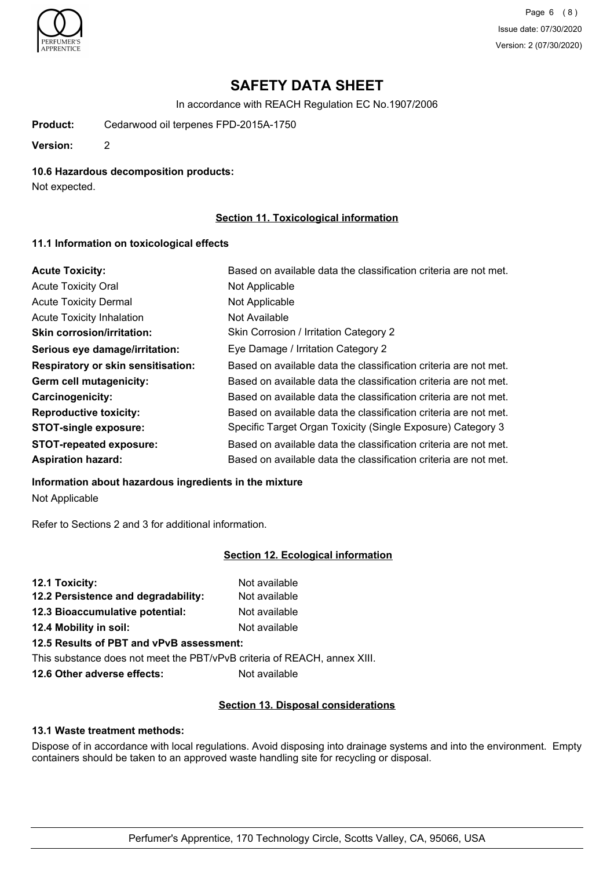

Page 6 (8) Issue date: 07/30/2020 Version: 2 (07/30/2020)

# **SAFETY DATA SHEET**

In accordance with REACH Regulation EC No.1907/2006

**Product:** Cedarwood oil terpenes FPD-2015A-1750

**Version:** 2

#### **10.6 Hazardous decomposition products:**

Not expected.

# **Section 11. Toxicological information**

#### **11.1 Information on toxicological effects**

| <b>Acute Toxicity:</b>                    | Based on available data the classification criteria are not met. |
|-------------------------------------------|------------------------------------------------------------------|
| <b>Acute Toxicity Oral</b>                | Not Applicable                                                   |
| <b>Acute Toxicity Dermal</b>              | Not Applicable                                                   |
| <b>Acute Toxicity Inhalation</b>          | Not Available                                                    |
| <b>Skin corrosion/irritation:</b>         | Skin Corrosion / Irritation Category 2                           |
| Serious eye damage/irritation:            | Eye Damage / Irritation Category 2                               |
| <b>Respiratory or skin sensitisation:</b> | Based on available data the classification criteria are not met. |
| Germ cell mutagenicity:                   | Based on available data the classification criteria are not met. |
| <b>Carcinogenicity:</b>                   | Based on available data the classification criteria are not met. |
| <b>Reproductive toxicity:</b>             | Based on available data the classification criteria are not met. |
| <b>STOT-single exposure:</b>              | Specific Target Organ Toxicity (Single Exposure) Category 3      |
| <b>STOT-repeated exposure:</b>            | Based on available data the classification criteria are not met. |
| <b>Aspiration hazard:</b>                 | Based on available data the classification criteria are not met. |

#### **Information about hazardous ingredients in the mixture**

Not Applicable

Refer to Sections 2 and 3 for additional information.

### **Section 12. Ecological information**

| 12.1 Toxicity:                      | Not available |
|-------------------------------------|---------------|
| 12.2 Persistence and degradability: | Not available |
| 12.3 Bioaccumulative potential:     | Not available |
| 12.4 Mobility in soil:              | Not available |

# **12.5 Results of PBT and vPvB assessment:**

This substance does not meet the PBT/vPvB criteria of REACH, annex XIII.

**12.6 Other adverse effects:** Not available

# **Section 13. Disposal considerations**

#### **13.1 Waste treatment methods:**

Dispose of in accordance with local regulations. Avoid disposing into drainage systems and into the environment. Empty containers should be taken to an approved waste handling site for recycling or disposal.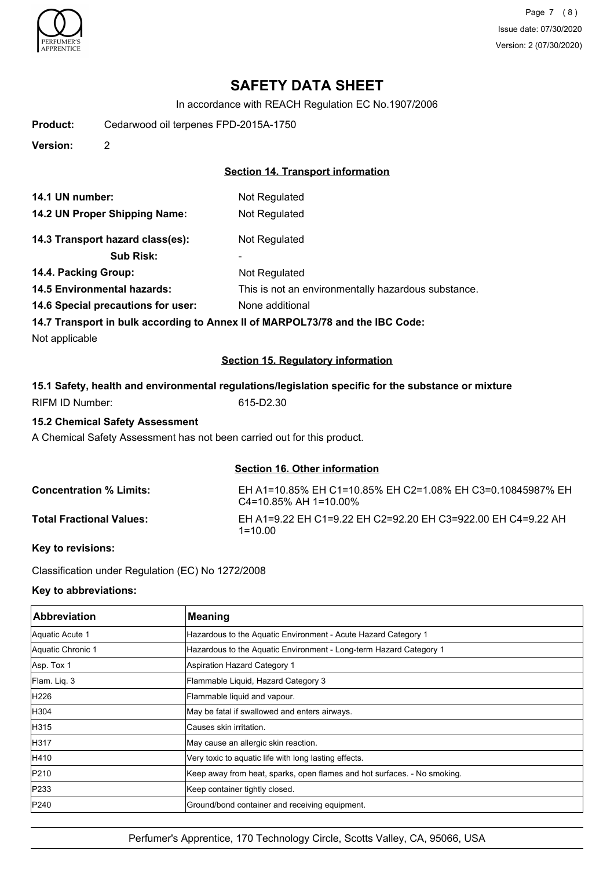

Page 7 (8) Issue date: 07/30/2020 Version: 2 (07/30/2020)

# **SAFETY DATA SHEET**

In accordance with REACH Regulation EC No.1907/2006

**Product:** Cedarwood oil terpenes FPD-2015A-1750

**Version:** 2

## **Section 14. Transport information**

| 14.1 UN number:               | Not Regulated |
|-------------------------------|---------------|
| 14.2 UN Proper Shipping Name: | Not Regulated |

# 14.3 Transport hazard class(es): Not Regulated

**Sub Risk:** -

- **14.4. Packing Group:**
- **14.5 Environmental hazards:** This is not an environmentally hazardous substance.
- **14.6 Special precautions for user:** None additional

**14.7 Transport in bulk according to Annex II of MARPOL73/78 and the IBC Code:**

Not applicable

# **Section 15. Regulatory information**

|                 | 15.1 Safety, health and environmental regulations/legislation specific for the substance or mixture |
|-----------------|-----------------------------------------------------------------------------------------------------|
| RIFM ID Number: | 615-D2.30                                                                                           |

Not Regulated

# **15.2 Chemical Safety Assessment**

A Chemical Safety Assessment has not been carried out for this product.

# **Section 16. Other information**

| <b>Concentration % Limits:</b>  | EH A1=10.85% EH C1=10.85% EH C2=1.08% EH C3=0.10845987% EH<br>$C4 = 10.85\%$ AH 1=10.00% |
|---------------------------------|------------------------------------------------------------------------------------------|
| <b>Total Fractional Values:</b> | EH A1=9.22 EH C1=9.22 EH C2=92.20 EH C3=922.00 EH C4=9.22 AH<br>1=10.00                  |

## **Key to revisions:**

Classification under Regulation (EC) No 1272/2008

### **Key to abbreviations:**

| <b>Abbreviation</b> | <b>Meaning</b>                                                           |
|---------------------|--------------------------------------------------------------------------|
| Aquatic Acute 1     | Hazardous to the Aquatic Environment - Acute Hazard Category 1           |
| Aquatic Chronic 1   | Hazardous to the Aquatic Environment - Long-term Hazard Category 1       |
| Asp. Tox 1          | Aspiration Hazard Category 1                                             |
| Flam. Liq. 3        | Flammable Liquid, Hazard Category 3                                      |
| H226                | Flammable liquid and vapour.                                             |
| H304                | May be fatal if swallowed and enters airways.                            |
| H315                | lCauses skin irritation.                                                 |
| H317                | May cause an allergic skin reaction.                                     |
| H410                | Very toxic to aquatic life with long lasting effects.                    |
| P210                | Keep away from heat, sparks, open flames and hot surfaces. - No smoking. |
| P233                | Keep container tightly closed.                                           |
| P240                | Ground/bond container and receiving equipment.                           |